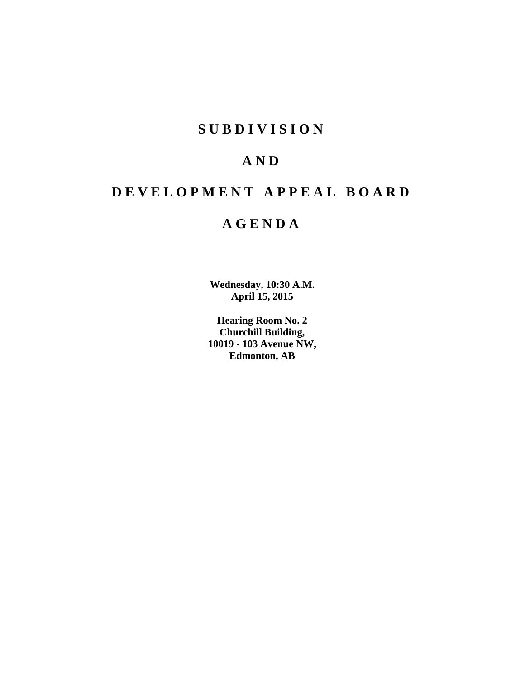## **SUBDIVISION**

# **AND**

# **DEVELOPMENT APPEAL BOARD**

# **AGENDA**

**Wednesday, 10:30 A.M. April 15, 2015**

**Hearing Room No. 2 Churchill Building, 10019 - 103 Avenue NW, Edmonton, AB**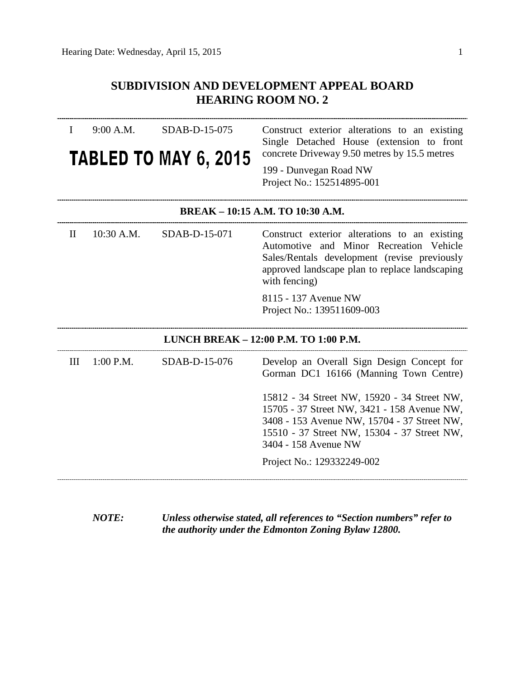## **SUBDIVISION AND DEVELOPMENT APPEAL BOARD HEARING ROOM NO. 2**

| 9:00 A.M.<br>I                        | SDAB-D-15-075<br><b>TABLED TO MAY 6, 2015</b> | Construct exterior alterations to an existing<br>Single Detached House (extension to front<br>concrete Driveway 9.50 metres by 15.5 metres<br>199 - Dunvegan Road NW<br>Project No.: 152514895-001               |  |
|---------------------------------------|-----------------------------------------------|------------------------------------------------------------------------------------------------------------------------------------------------------------------------------------------------------------------|--|
| BREAK - 10:15 A.M. TO 10:30 A.M.      |                                               |                                                                                                                                                                                                                  |  |
| 10:30 A.M.<br>$\mathbf{I}$            | SDAB-D-15-071                                 | Construct exterior alterations to an existing<br>Automotive and Minor Recreation Vehicle<br>Sales/Rentals development (revise previously<br>approved landscape plan to replace landscaping<br>with fencing)      |  |
|                                       |                                               | 8115 - 137 Avenue NW<br>Project No.: 139511609-003                                                                                                                                                               |  |
| LUNCH BREAK - 12:00 P.M. TO 1:00 P.M. |                                               |                                                                                                                                                                                                                  |  |
| 1:00 P.M.<br>III                      | SDAB-D-15-076                                 | Develop an Overall Sign Design Concept for<br>Gorman DC1 16166 (Manning Town Centre)                                                                                                                             |  |
|                                       |                                               | 15812 - 34 Street NW, 15920 - 34 Street NW,<br>15705 - 37 Street NW, 3421 - 158 Avenue NW,<br>3408 - 153 Avenue NW, 15704 - 37 Street NW,<br>15510 - 37 Street NW, 15304 - 37 Street NW,<br>3404 - 158 Avenue NW |  |
|                                       |                                               | Project No.: 129332249-002                                                                                                                                                                                       |  |

*NOTE: Unless otherwise stated, all references to "Section numbers" refer to the authority under the Edmonton Zoning Bylaw 12800.*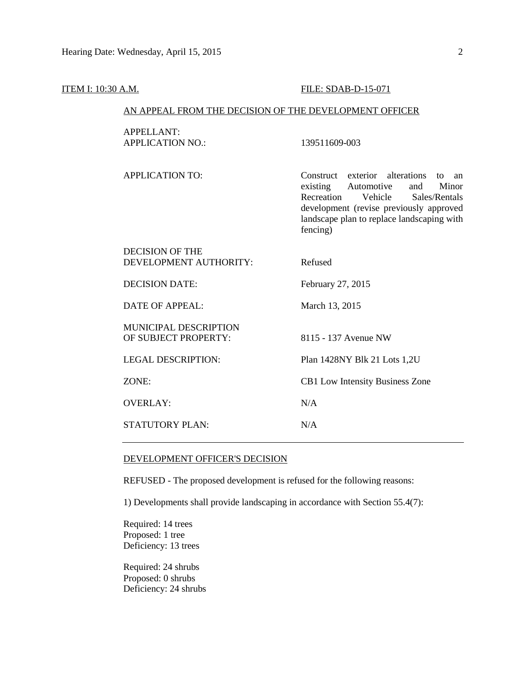#### **ITEM I:** 10:30 A.M. **FILE: SDAB-D-15-071**

#### AN APPEAL FROM THE DECISION OF THE DEVELOPMENT OFFICER

APPELLANT: APPLICATION NO.: 139511609-003

APPLICATION TO: Construct exterior alterations to an existing Automotive and Minor Recreation Vehicle Sales/Rentals development (revise previously approved landscape plan to replace landscaping with fencing)

| DECISION OF THE<br>DEVELOPMENT AUTHORITY:     | Refused                                |
|-----------------------------------------------|----------------------------------------|
| DECISION DATE:                                | February 27, 2015                      |
| DATE OF APPEAL:                               | March 13, 2015                         |
| MUNICIPAL DESCRIPTION<br>OF SUBJECT PROPERTY: | 8115 - 137 Avenue NW                   |
| <b>LEGAL DESCRIPTION:</b>                     | Plan 1428NY Blk 21 Lots 1,2U           |
| ZONE:                                         | <b>CB1</b> Low Intensity Business Zone |
| <b>OVERLAY:</b>                               | N/A                                    |
| STATUTORY PLAN:                               | N/A                                    |
|                                               |                                        |

#### DEVELOPMENT OFFICER'S DECISION

REFUSED - The proposed development is refused for the following reasons:

1) Developments shall provide landscaping in accordance with Section 55.4(7):

Required: 14 trees Proposed: 1 tree Deficiency: 13 trees

Required: 24 shrubs Proposed: 0 shrubs Deficiency: 24 shrubs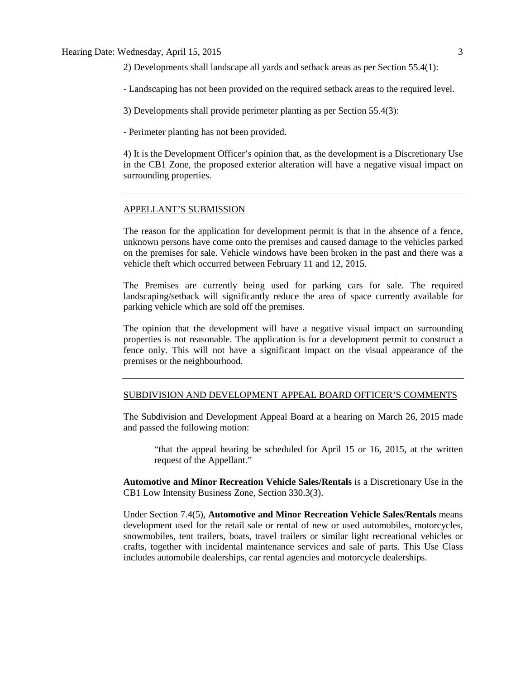#### Hearing Date: Wednesday, April 15, 2015 3

2) Developments shall landscape all yards and setback areas as per Section 55.4(1):

- Landscaping has not been provided on the required setback areas to the required level.

3) Developments shall provide perimeter planting as per Section 55.4(3):

- Perimeter planting has not been provided.

4) It is the Development Officer's opinion that, as the development is a Discretionary Use in the CB1 Zone, the proposed exterior alteration will have a negative visual impact on surrounding properties.

#### APPELLANT'S SUBMISSION

The reason for the application for development permit is that in the absence of a fence, unknown persons have come onto the premises and caused damage to the vehicles parked on the premises for sale. Vehicle windows have been broken in the past and there was a vehicle theft which occurred between February 11 and 12, 2015.

The Premises are currently being used for parking cars for sale. The required landscaping/setback will significantly reduce the area of space currently available for parking vehicle which are sold off the premises.

The opinion that the development will have a negative visual impact on surrounding properties is not reasonable. The application is for a development permit to construct a fence only. This will not have a significant impact on the visual appearance of the premises or the neighbourhood.

#### SUBDIVISION AND DEVELOPMENT APPEAL BOARD OFFICER'S COMMENTS

The Subdivision and Development Appeal Board at a hearing on March 26, 2015 made and passed the following motion:

"that the appeal hearing be scheduled for April 15 or 16, 2015, at the written request of the Appellant."

**Automotive and Minor Recreation Vehicle Sales/Rentals** is a Discretionary Use in the CB1 Low Intensity Business Zone, Section 330.3(3).

Under Section 7.4(5), **Automotive and Minor Recreation Vehicle Sales/Rentals** means development used for the retail sale or rental of new or used automobiles, motorcycles, snowmobiles, tent trailers, boats, travel trailers or similar light recreational vehicles or crafts, together with incidental maintenance services and sale of parts. This Use Class includes automobile dealerships, car rental agencies and motorcycle dealerships.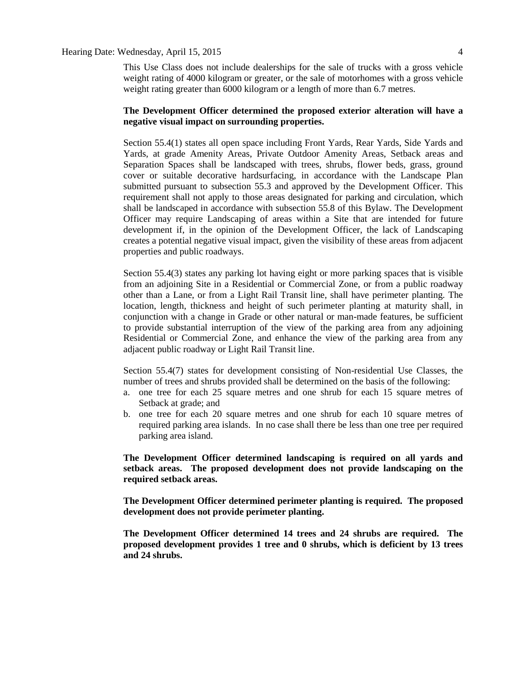#### Hearing Date: Wednesday, April 15, 2015 4

This Use Class does not include dealerships for the sale of trucks with a gross vehicle weight rating of 4000 kilogram or greater, or the sale of motorhomes with a gross vehicle weight rating greater than 6000 kilogram or a length of more than 6.7 metres.

#### **The Development Officer determined the proposed exterior alteration will have a negative visual impact on surrounding properties.**

Section 55.4(1) states all open space including Front Yards, Rear Yards, Side Yards and Yards, at grade Amenity Areas, Private Outdoor Amenity Areas, Setback areas and Separation Spaces shall be landscaped with trees, shrubs, flower beds, grass, ground cover or suitable decorative hardsurfacing, in accordance with the Landscape Plan submitted pursuant to subsection 55.3 and approved by the Development Officer. This requirement shall not apply to those areas designated for parking and circulation, which shall be landscaped in accordance with subsection 55.8 of this Bylaw. The Development Officer may require Landscaping of areas within a Site that are intended for future development if, in the opinion of the Development Officer, the lack of Landscaping creates a potential negative visual impact, given the visibility of these areas from adjacent properties and public roadways.

Section 55.4(3) states any parking lot having eight or more parking spaces that is visible from an adjoining Site in a Residential or Commercial Zone, or from a public roadway other than a Lane, or from a Light Rail Transit line, shall have perimeter planting. The location, length, thickness and height of such perimeter planting at maturity shall, in conjunction with a change in Grade or other natural or man-made features, be sufficient to provide substantial interruption of the view of the parking area from any adjoining Residential or Commercial Zone, and enhance the view of the parking area from any adjacent public roadway or Light Rail Transit line.

Section 55.4(7) states for development consisting of Non-residential Use Classes, the number of trees and shrubs provided shall be determined on the basis of the following:

- a. one tree for each 25 square metres and one shrub for each 15 square metres of Setback at grade; and
- b. one tree for each 20 square metres and one shrub for each 10 square metres of required parking area islands. In no case shall there be less than one tree per required parking area island.

**The Development Officer determined landscaping is required on all yards and setback areas. The proposed development does not provide landscaping on the required setback areas.**

**The Development Officer determined perimeter planting is required. The proposed development does not provide perimeter planting.**

**The Development Officer determined 14 trees and 24 shrubs are required. The proposed development provides 1 tree and 0 shrubs, which is deficient by 13 trees and 24 shrubs.**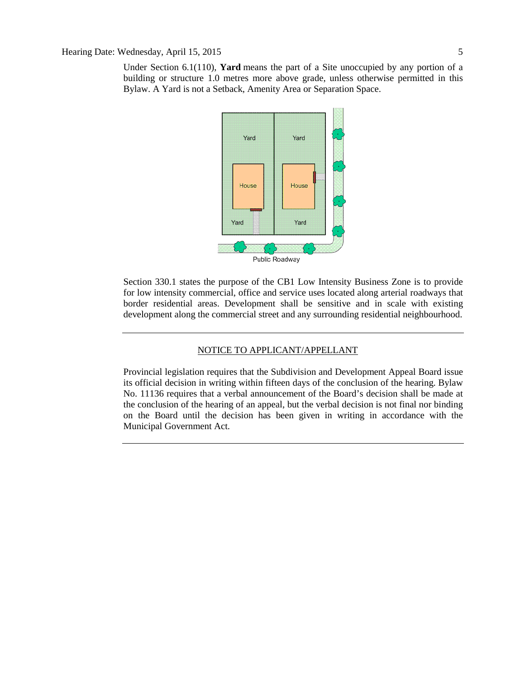Under Section 6.1(110), **Yard** means the part of a Site unoccupied by any portion of a building or structure 1.0 metres more above grade, unless otherwise permitted in this Bylaw. A Yard is not a Setback, Amenity Area or Separation Space.



Section 330.1 states the purpose of the CB1 Low Intensity Business Zone is to provide for low intensity commercial, office and service uses located along arterial roadways that border residential areas. Development shall be sensitive and in scale with existing development along the commercial street and any surrounding residential neighbourhood.

### NOTICE TO APPLICANT/APPELLANT

Provincial legislation requires that the Subdivision and Development Appeal Board issue its official decision in writing within fifteen days of the conclusion of the hearing. Bylaw No. 11136 requires that a verbal announcement of the Board's decision shall be made at the conclusion of the hearing of an appeal, but the verbal decision is not final nor binding on the Board until the decision has been given in writing in accordance with the Municipal Government Act.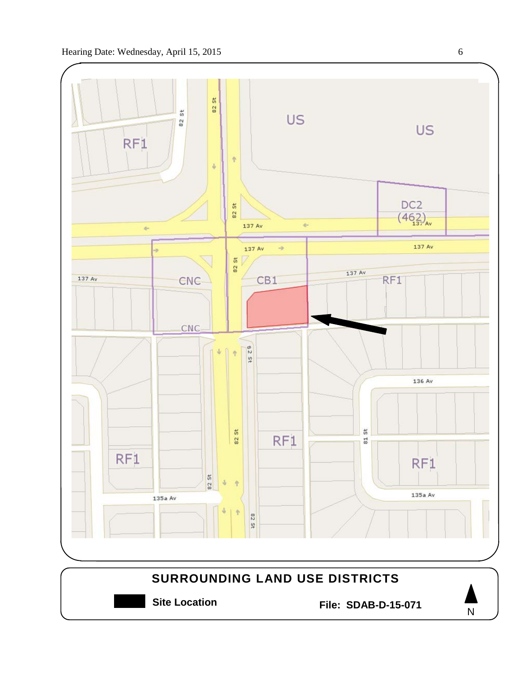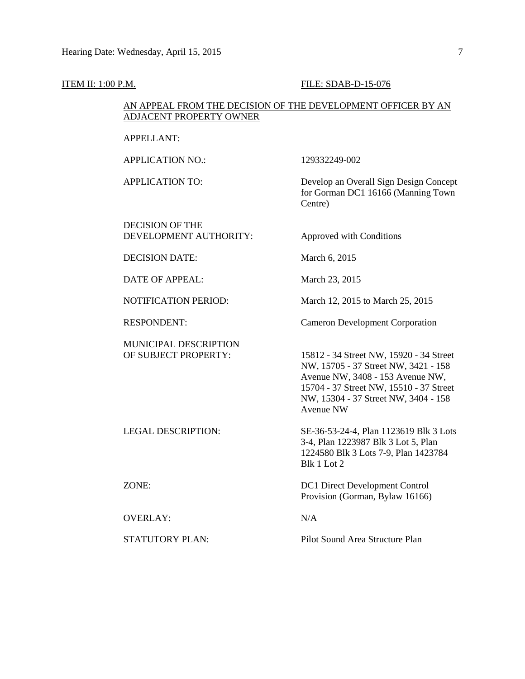#### **ITEM II: 1:00 P.M. FILE: SDAB-D-15-076**

#### AN APPEAL FROM THE DECISION OF THE DEVELOPMENT OFFICER BY AN ADJACENT PROPERTY OWNER

#### APPELLANT:

APPLICATION NO.: 129332249-002

DECISION OF THE DEVELOPMENT AUTHORITY: Approved with Conditions

APPLICATION TO: Develop an Overall Sign Design Concept for Gorman DC1 16166 (Manning Town Centre)

DECISION DATE: March 6, 2015

DATE OF APPEAL: March 23, 2015

NOTIFICATION PERIOD: March 12, 2015 to March 25, 2015

RESPONDENT: Cameron Development Corporation

MUNICIPAL DESCRIPTION<br>OF SUBJECT PROPERTY:

15812 - 34 Street NW, 15920 - 34 Street NW, 15705 - 37 Street NW, 3421 - 158 Avenue NW, 3408 - 153 Avenue NW, 15704 - 37 Street NW, 15510 - 37 Street NW, 15304 - 37 Street NW, 3404 - 158 Avenue NW

LEGAL DESCRIPTION: SE-36-53-24-4, Plan 1123619 Blk 3 Lots 3-4, Plan 1223987 Blk 3 Lot 5, Plan 1224580 Blk 3 Lots 7-9, Plan 1423784 Blk 1 Lot 2

ZONE: DC1 Direct Development Control Provision (Gorman, Bylaw 16166)

OVERLAY: N/A

STATUTORY PLAN: Pilot Sound Area Structure Plan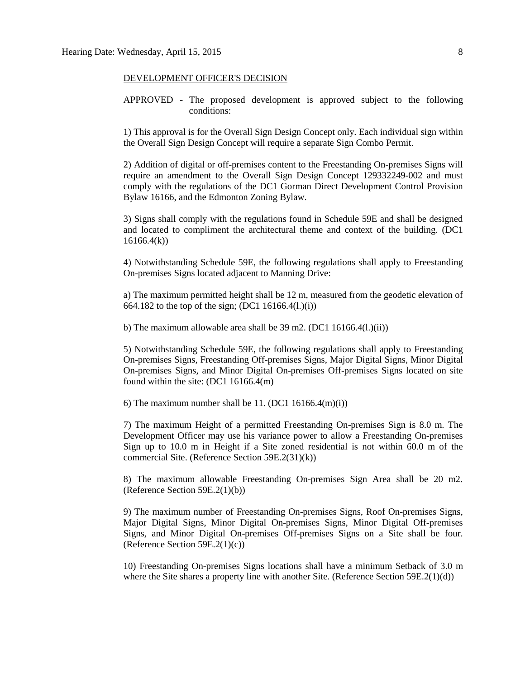#### DEVELOPMENT OFFICER'S DECISION

APPROVED - The proposed development is approved subject to the following conditions:

1) This approval is for the Overall Sign Design Concept only. Each individual sign within the Overall Sign Design Concept will require a separate Sign Combo Permit.

2) Addition of digital or off-premises content to the Freestanding On-premises Signs will require an amendment to the Overall Sign Design Concept 129332249-002 and must comply with the regulations of the DC1 Gorman Direct Development Control Provision Bylaw 16166, and the Edmonton Zoning Bylaw.

3) Signs shall comply with the regulations found in Schedule 59E and shall be designed and located to compliment the architectural theme and context of the building. (DC1 16166.4(k))

4) Notwithstanding Schedule 59E, the following regulations shall apply to Freestanding On-premises Signs located adjacent to Manning Drive:

a) The maximum permitted height shall be 12 m, measured from the geodetic elevation of 664.182 to the top of the sign; (DC1 16166.4(l.)(i))

b) The maximum allowable area shall be  $39 \text{ m}$ 2. (DC1 16166.4(l.)(ii))

5) Notwithstanding Schedule 59E, the following regulations shall apply to Freestanding On-premises Signs, Freestanding Off-premises Signs, Major Digital Signs, Minor Digital On-premises Signs, and Minor Digital On-premises Off-premises Signs located on site found within the site: (DC1 16166.4(m)

6) The maximum number shall be 11.  $(DC1 16166.4(m)(i))$ 

7) The maximum Height of a permitted Freestanding On-premises Sign is 8.0 m. The Development Officer may use his variance power to allow a Freestanding On-premises Sign up to 10.0 m in Height if a Site zoned residential is not within 60.0 m of the commercial Site. (Reference Section 59E.2(31)(k))

8) The maximum allowable Freestanding On-premises Sign Area shall be 20 m2. (Reference Section 59E.2(1)(b))

9) The maximum number of Freestanding On-premises Signs, Roof On-premises Signs, Major Digital Signs, Minor Digital On-premises Signs, Minor Digital Off-premises Signs, and Minor Digital On-premises Off-premises Signs on a Site shall be four. (Reference Section 59E.2(1)(c))

10) Freestanding On-premises Signs locations shall have a minimum Setback of 3.0 m where the Site shares a property line with another Site. (Reference Section  $59E.2(1)(d)$ )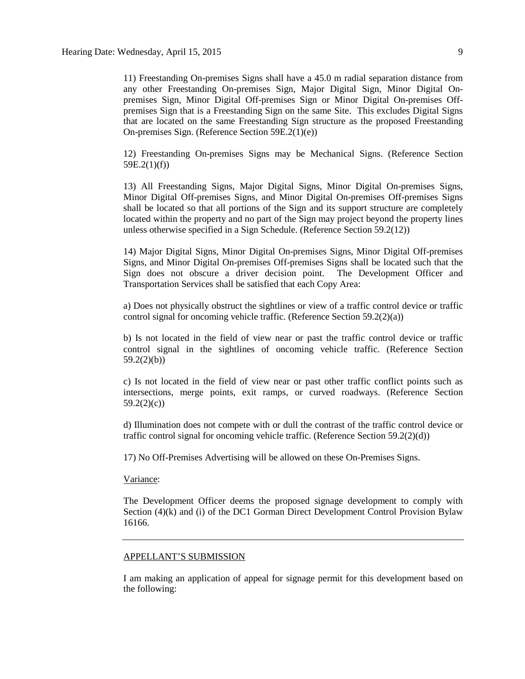11) Freestanding On-premises Signs shall have a 45.0 m radial separation distance from any other Freestanding On-premises Sign, Major Digital Sign, Minor Digital Onpremises Sign, Minor Digital Off-premises Sign or Minor Digital On-premises Offpremises Sign that is a Freestanding Sign on the same Site. This excludes Digital Signs that are located on the same Freestanding Sign structure as the proposed Freestanding On-premises Sign. (Reference Section 59E.2(1)(e))

12) Freestanding On-premises Signs may be Mechanical Signs. (Reference Section 59E.2(1)(f))

13) All Freestanding Signs, Major Digital Signs, Minor Digital On-premises Signs, Minor Digital Off-premises Signs, and Minor Digital On-premises Off-premises Signs shall be located so that all portions of the Sign and its support structure are completely located within the property and no part of the Sign may project beyond the property lines unless otherwise specified in a Sign Schedule. (Reference Section 59.2(12))

14) Major Digital Signs, Minor Digital On-premises Signs, Minor Digital Off-premises Signs, and Minor Digital On-premises Off-premises Signs shall be located such that the Sign does not obscure a driver decision point. The Development Officer and Transportation Services shall be satisfied that each Copy Area:

a) Does not physically obstruct the sightlines or view of a traffic control device or traffic control signal for oncoming vehicle traffic. (Reference Section 59.2(2)(a))

b) Is not located in the field of view near or past the traffic control device or traffic control signal in the sightlines of oncoming vehicle traffic. (Reference Section 59.2(2)(b))

c) Is not located in the field of view near or past other traffic conflict points such as intersections, merge points, exit ramps, or curved roadways. (Reference Section 59.2(2)(c))

d) Illumination does not compete with or dull the contrast of the traffic control device or traffic control signal for oncoming vehicle traffic. (Reference Section 59.2(2)(d))

17) No Off-Premises Advertising will be allowed on these On-Premises Signs.

#### Variance:

The Development Officer deems the proposed signage development to comply with Section  $(4)(k)$  and  $(i)$  of the DC1 Gorman Direct Development Control Provision Bylaw 16166.

#### APPELLANT'S SUBMISSION

I am making an application of appeal for signage permit for this development based on the following: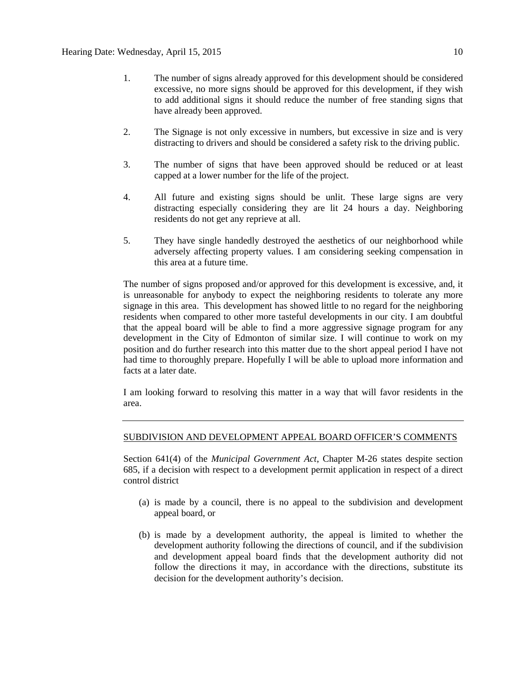- 1. The number of signs already approved for this development should be considered excessive, no more signs should be approved for this development, if they wish to add additional signs it should reduce the number of free standing signs that have already been approved.
- 2. The Signage is not only excessive in numbers, but excessive in size and is very distracting to drivers and should be considered a safety risk to the driving public.
- 3. The number of signs that have been approved should be reduced or at least capped at a lower number for the life of the project.
- 4. All future and existing signs should be unlit. These large signs are very distracting especially considering they are lit 24 hours a day. Neighboring residents do not get any reprieve at all.
- 5. They have single handedly destroyed the aesthetics of our neighborhood while adversely affecting property values. I am considering seeking compensation in this area at a future time.

The number of signs proposed and/or approved for this development is excessive, and, it is unreasonable for anybody to expect the neighboring residents to tolerate any more signage in this area. This development has showed little to no regard for the neighboring residents when compared to other more tasteful developments in our city. I am doubtful that the appeal board will be able to find a more aggressive signage program for any development in the City of Edmonton of similar size. I will continue to work on my position and do further research into this matter due to the short appeal period I have not had time to thoroughly prepare. Hopefully I will be able to upload more information and facts at a later date.

I am looking forward to resolving this matter in a way that will favor residents in the area.

#### SUBDIVISION AND DEVELOPMENT APPEAL BOARD OFFICER'S COMMENTS

Section 641(4) of the *Municipal Government Act*, Chapter M-26 states despite section 685, if a decision with respect to a development permit application in respect of a direct control district

- (a) is made by a council, there is no appeal to the subdivision and development appeal board, or
- (b) is made by a development authority, the appeal is limited to whether the development authority following the directions of council, and if the subdivision and development appeal board finds that the development authority did not follow the directions it may, in accordance with the directions, substitute its decision for the development authority's decision.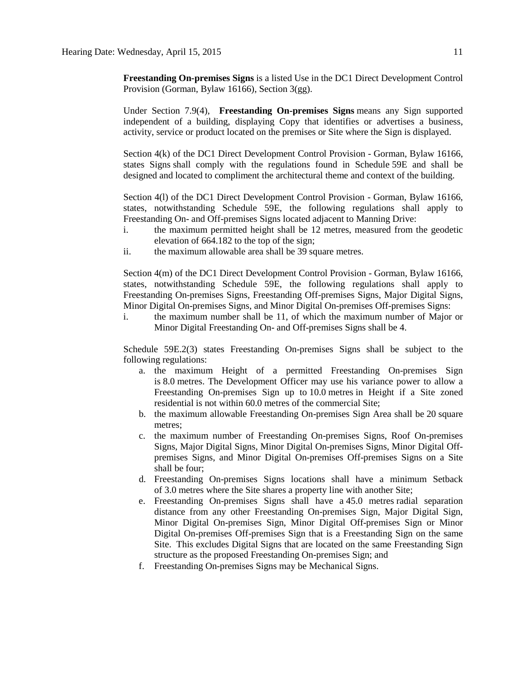**Freestanding On-premises Signs** is a listed Use in the DC1 Direct Development Control Provision (Gorman, Bylaw 16166), Section 3(gg).

Under Section 7.9(4), **Freestanding On-premises Signs** means any Sign supported independent of a building, displaying Copy that identifies or advertises a business, activity, service or product located on the premises or Site where the Sign is displayed.

Section 4(k) of the DC1 Direct Development Control Provision - Gorman, Bylaw 16166, states Signs shall comply with the regulations found in Schedule 59E and shall be designed and located to compliment the architectural theme and context of the building.

Section 4(l) of the DC1 Direct Development Control Provision - Gorman, Bylaw 16166, states, notwithstanding Schedule 59E, the following regulations shall apply to Freestanding On- and Off-premises Signs located adjacent to Manning Drive:

- i. the maximum permitted height shall be 12 metres, measured from the geodetic elevation of 664.182 to the top of the sign;
- ii. the maximum allowable area shall be 39 square metres.

Section 4(m) of the DC1 Direct Development Control Provision - Gorman, Bylaw 16166, states, notwithstanding Schedule 59E, the following regulations shall apply to Freestanding On-premises Signs, Freestanding Off-premises Signs, Major Digital Signs, Minor Digital On-premises Signs, and Minor Digital On-premises Off-premises Signs:

i. the maximum number shall be 11, of which the maximum number of Major or Minor Digital Freestanding On- and Off-premises Signs shall be 4.

Schedule 59E.2(3) states Freestanding On-premises Signs shall be subject to the following regulations:

- a. the maximum Height of a permitted Freestanding On-premises Sign is [8.0](javascript:void(0);) metres. The Development Officer may use his variance power to allow a Freestanding On-premises Sign up to [10.0](javascript:void(0);) metres in Height if a Site zoned residential is not within [60.0](javascript:void(0);) metres of the commercial Site;
- b. the maximum allowable Freestanding On-premises Sign Area shall be 20 square metres;
- c. the maximum number of Freestanding On-premises Signs, Roof On-premises Signs, Major Digital Signs, Minor Digital On-premises Signs, Minor Digital Offpremises Signs, and Minor Digital On-premises Off-premises Signs on a Site shall be four;
- d. Freestanding On-premises Signs locations shall have a minimum Setback of [3.0](javascript:void(0);) metres where the Site shares a property line with another Site;
- e. Freestanding On-premises Signs shall have a [45.0 me](javascript:void(0);)tres radial separation distance from any other Freestanding On-premises Sign, Major Digital Sign, Minor Digital On-premises Sign, Minor Digital Off-premises Sign or Minor Digital On-premises Off-premises Sign that is a Freestanding Sign on the same Site. This excludes Digital Signs that are located on the same Freestanding Sign structure as the proposed Freestanding On-premises Sign; and
- f. Freestanding On-premises Signs may be Mechanical Signs.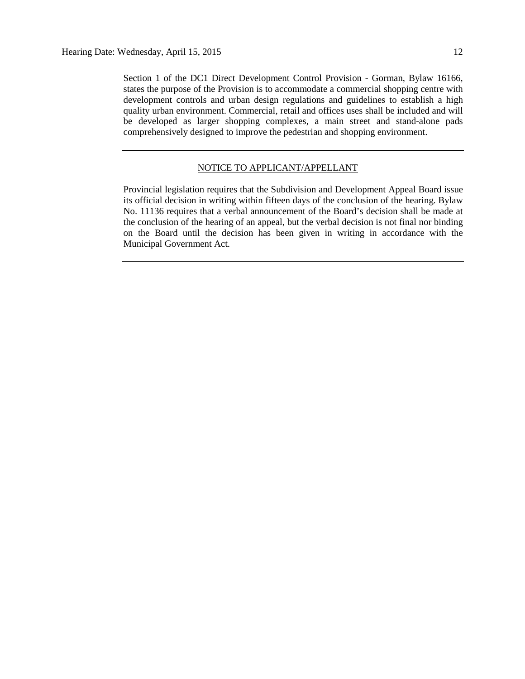Section 1 of the DC1 Direct Development Control Provision - Gorman, Bylaw 16166, states the purpose of the Provision is to accommodate a commercial shopping centre with development controls and urban design regulations and guidelines to establish a high quality urban environment. Commercial, retail and offices uses shall be included and will be developed as larger shopping complexes, a main street and stand-alone pads comprehensively designed to improve the pedestrian and shopping environment.

#### NOTICE TO APPLICANT/APPELLANT

Provincial legislation requires that the Subdivision and Development Appeal Board issue its official decision in writing within fifteen days of the conclusion of the hearing. Bylaw No. 11136 requires that a verbal announcement of the Board's decision shall be made at the conclusion of the hearing of an appeal, but the verbal decision is not final nor binding on the Board until the decision has been given in writing in accordance with the Municipal Government Act.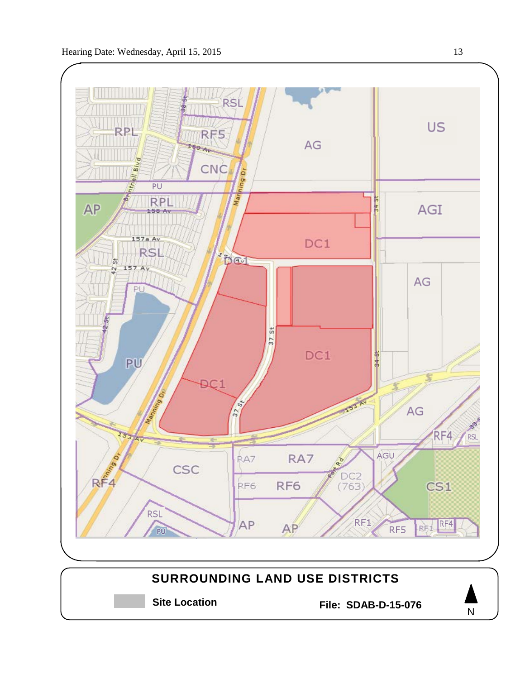